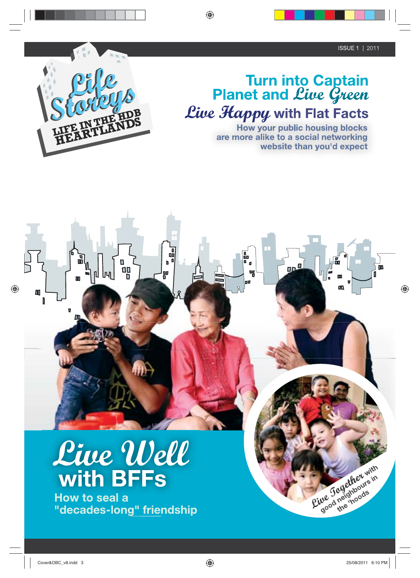**DD** 

۵D

Rive Jagether with



## Turn into Captain<br>Planet and *Live Green* Live Happy with Flat Facts

a<br>ap

no

qg

**How your public housing blocks** are more alike to a social networking website than you'd expect

亚

# Live Well with BFFs

י<br>פ<del>ם</del>

40

血

 $\begin{bmatrix} 1 \\ 0 \\ 0 \\ 0 \end{bmatrix}$ 

Áh<br>H

**How to seal a** "decades-long" friendship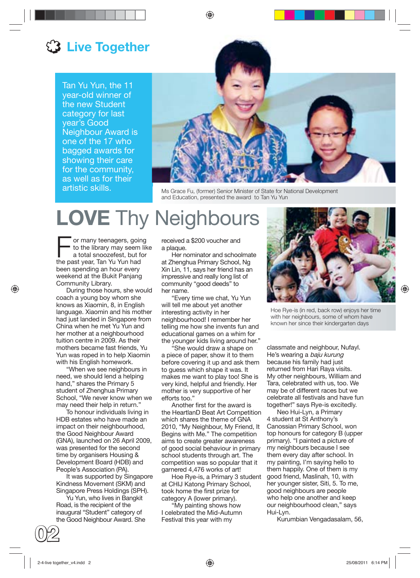### **(3 Live Together**

Tan Yu Yun, the 11 year-old winner of the new Student category for last year's Good Neighbour Award is one of the 17 who bagged awards for showing their care for the community, as well as for their artistic skills.



Ms Grace Fu, (former) Senior Minister of State for National Development and Education, presented the award to Tan Yu Yun

## **LOVE** Thy Neighbours

For many teenagers, going<br>to the library may seem like<br>a total snoozefest, but for<br>the past year Tap Yu Yup had to the library may seem like the past year, Tan Yu Yun had been spending an hour every weekend at the Bukit Panjang Community Library.

During those hours, she would coach a young boy whom she knows as Xiaomin, 8, in English language. Xiaomin and his mother had just landed in Singapore from China when he met Yu Yun and her mother at a neighbourhood tuition centre in 2009. As their mothers became fast friends, Yu Yun was roped in to help Xiaomin with his English homework.

"When we see neighbours in need, we should lend a helping hand," shares the Primary 5 student of Zhenghua Primary School, "We never know when we may need their help in return."

To honour individuals living in HDB estates who have made an impact on their neighbourhood, the Good Neighbour Award (GNA), launched on 26 April 2009, was presented for the second time by organisers Housing & Development Board (HDB) and People's Association (PA).

It was supported by Singapore Kindness Movement (SKM) and Singapore Press Holdings (SPH).

Yu Yun, who lives in Bangkit Road, is the recipient of the inaugural "Student" category of the Good Neighbour Award. She

**02**

received a \$200 voucher and a plaque.

Her nominator and schoolmate at Zhenghua Primary School, Ng Xin Lin, 11, says her friend has an impressive and really long list of community "good deeds" to her name.

"Every time we chat, Yu Yun will tell me about yet another interesting activity in her neighbourhood! I remember her telling me how she invents fun and educational games on a whim for the younger kids living around her."

"She would draw a shape on a piece of paper, show it to them before covering it up and ask them to guess which shape it was. It makes me want to play too! She is very kind, helpful and friendly. Her mother is very supportive of her efforts too."

Another first for the award is the HeartlanD Beat Art Competition which shares the theme of GNA 2010, "My Neighbour, My Friend, It Begins with Me." The competition aims to create greater awareness of good social behaviour in primary school students through art. The competition was so popular that it garnered 4,476 works of art!

Hoe Rye-is, a Primary 3 student at CHIJ Katong Primary School, took home the first prize for category A (lower primary).

"My painting shows how I celebrated the Mid-Autumn Festival this year with my



Hoe Rye-is (in red, back row) enjoys her time with her neighbours, some of whom have known her since their kindergarten days

classmate and neighbour, Nufayl. He's wearing a baju kurung because his family had just returned from Hari Raya visits. My other neighbours, William and Tara, celebrated with us, too. We may be of different races but we celebrate all festivals and have fun together!" says Rye-is excitedly.

Neo Hui-Lyn, a Primary 4 student at St Anthony's Canossian Primary School, won top honours for category B (upper primary). "I painted a picture of my neighbours because I see them every day after school. In my painting, I'm saying hello to them happily. One of them is my good friend, Maslinah, 10, with her younger sister, Siti, 5. To me, good neighbours are people who help one another and keep our neighbourhood clean," says Hui-Lyn.

Kurumbian Vengadasalam, 56,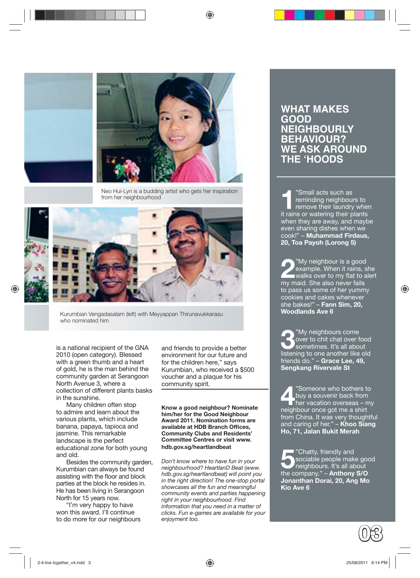



Neo Hui-Lyn is a budding artist who gets her inspiration from her neighbourhood



Kurumbian Vengadasalam (left) with Meyyappan Thirunavukkarasu who nominated him

is a national recipient of the GNA 2010 (open category). Blessed with a green thumb and a heart of gold, he is the man behind the community garden at Serangoon North Avenue 3, where a collection of different plants basks in the sunshine.

Many children often stop to admire and learn about the various plants, which include banana, papaya, tapioca and jasmine. This remarkable landscape is the perfect educational zone for both young and old.

Besides the community garden, Kurumbian can always be found assisting with the floor and block parties at the block he resides in. He has been living in Serangoon North for 15 years now.

"I'm very happy to have won this award. I'll continue to do more for our neighbours and friends to provide a better environment for our future and for the children here," says Kurumbian, who received a \$500 voucher and a plaque for his community spirit.

**Know a good neighbour? Nominate him/her for the Good Neighbour Award 2011. Nomination forms are available at HDB Branch Offi ces, Community Clubs and Residents' Committee Centres or visit www. hdb.gov.sg/heartlandbeat**

*Don't know where to have fun in your neighbourhood? HeartlanD Beat (www. hdb.gov.sg/heartlandbeat) will point you in the right direction! The one-stop portal showcases all the fun and meaningful community events and parties happening right in your neighbourhood. Find information that you need in a matter of clicks. Fun e-games are available for your enjoyment too.*

#### **WHAT MAKES GOOD NEIGHBOURLY BEHAVIOUR? WE ASK AROUND THE 'HOODS**

<sup>1</sup>"Small acts such as<br>
reminding neighbour<br>
remove their laundry<br>
it reing ar watering their reminding neighbours to remove their laundry when it rains or watering their plants when they are away, and maybe even sharing dishes when we cook!" – **Muhammad Firdaus, 20, Toa Payoh (Lorong 5)**

**2**"My neighbour is a good example. When it rains, she walks over to my flat to alert my maid. She also never fails to pass us some of her yummy cookies and cakes whenever she bakes!" – **Fann Sim, 20, Woodlands Ave 6**

<sup>"My</sup> neighbours come"<br>
over to chit chat over f<br>
sometimes. It's all abo over to chit chat over food sometimes. It's all about listening to one another like old friends do." – **Grace Lee, 49, Sengkang Rivervale St**

<sup>"</sup>Someone who bothers to<br>
buy a souvenir back from<br>
her vacation overseas – my<br>
painthour can birt Lbuy a souvenir back from neighbour once got me a shirt from China. It was very thoughtful and caring of her." – **Khoo Siang Ho, 71, Jalan Bukit Merah**

**5** "Chatty, friendly and<br>
sociable people make go<br>
the compony."<br> **All about the compony."** sociable people make good the company." – **Anthony S/O Jonanthan Dorai, 20, Ang Mo Kio Ave 6**

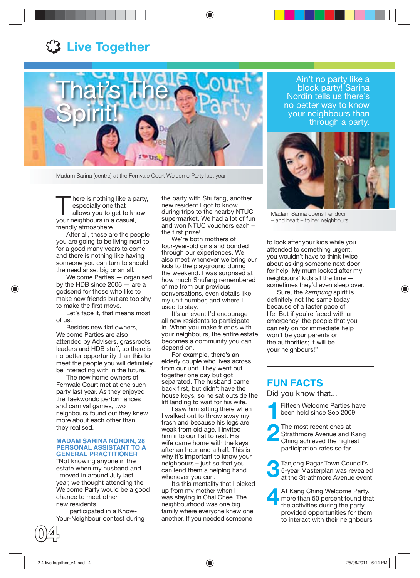### **13 Live Together**



Madam Sarina (centre) at the Fernvale Court Welcome Party last year

here is nothing like a party, especially one that allows you to get to know your neighbours in a casual, friendly atmosphere.

After all, these are the people you are going to be living next to for a good many years to come, and there is nothing like having someone you can turn to should the need arise, big or small.

Welcome Parties — organised by the HDB since 2006 — are a godsend for those who like to make new friends but are too shy to make the first move.

Let's face it, that means most of us!

Besides new flat owners. Welcome Parties are also attended by Advisers, grassroots leaders and HDB staff, so there is no better opportunity than this to meet the people you will definitely be interacting with in the future.

The new home owners of Fernvale Court met at one such party last year. As they enjoyed the Taekwondo performances and carnival games, two neighbours found out they knew more about each other than they realised.

#### **MADAM SARINA NORDIN, 28 PERSONAL ASSISTANT TO A GENERAL PRACTITIONER**

"Not knowing anyone in the estate when my husband and I moved in around July last year, we thought attending the Welcome Party would be a good chance to meet other new residents.

I participated in a Know-Your-Neighbour contest during the party with Shufang, another new resident I got to know during trips to the nearby NTUC supermarket. We had a lot of fun and won NTUC vouchers each – the first prize!

We're both mothers of four-year-old girls and bonded through our experiences. We also meet whenever we bring our kids to the playground during the weekend. I was surprised at how much Shufang remembered of me from our previous conversations, even details like my unit number, and where I used to stay.

It's an event I'd encourage all new residents to participate in. When you make friends with your neighbours, the entire estate becomes a community you can depend on.

For example, there's an elderly couple who lives across from our unit. They went out together one day but got separated. The husband came back first, but didn't have the house keys, so he sat outside the lift landing to wait for his wife.

I saw him sitting there when I walked out to throw away my trash and because his legs are weak from old age, I invited him into our flat to rest. His wife came home with the keys after an hour and a half. This is why it's important to know your neighbours – just so that you can lend them a helping hand whenever you can.

It's this mentality that I picked up from my mother when I was staying in Chai Chee. The neighbourhood was one big family where everyone knew one another. If you needed someone

Ain't no party like a block party! Sarina Nordin tells us there's no better way to know your neighbours than through a party.



Madam Sarina opens her door – and heart – to her neighbours

to look after your kids while you attended to something urgent, you wouldn't have to think twice about asking someone next door for help. My mum looked after my neighbours' kids all the time sometimes they'd even sleep over.

Sure, the kampung spirit is definitely not the same today because of a faster pace of life. But if you're faced with an emergency, the people that you can rely on for immediate help won't be your parents or the authorities; it will be your neighbours!"

#### **FUN FACTS**

Did you know that...

- **1**Fifteen Welcome Parties have been held since Sep 2009
- **2** The most recent ones at Strathmore Avenue and Ka Ching achieved the highest Strathmore Avenue and Kang participation rates so far

**3** Tanjong Pagar Town Council's<br>5-year Masterplan was reveale<br>at the Strathmore Avenue even 5-year Masterplan was revealed at the Strathmore Avenue event

At Kang Ching Welcome Party,<br>more than 50 percent found that<br>the activities during the party more than 50 percent found that the activities during the party provided opportunities for them to interact with their neighbours

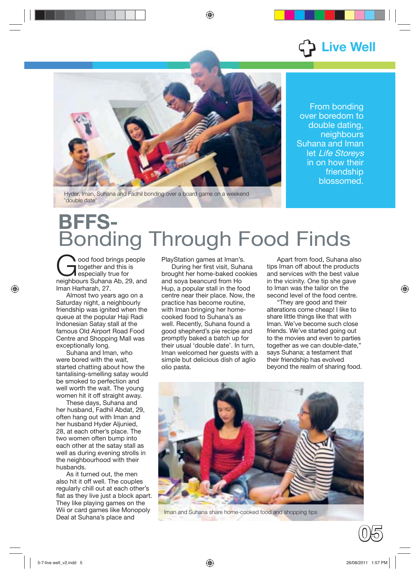## **Live Well**

From bonding over boredom to double dating, neighbours Suhana and Iman let Life Storeys in on how their friendship blossomed.

Hyder, Iman, Suhana and Fadhil bonding over a board game on a weekend 'double date'

## **BFFS-**Bonding Through Food Finds

ood food brings people together and this is especially true for neighbours Suhana Ab, 29, and Iman Harharah, 27.

Almost two years ago on a Saturday night, a neighbourly friendship was ignited when the queue at the popular Haji Radi Indonesian Satay stall at the famous Old Airport Road Food Centre and Shopping Mall was exceptionally long.

Suhana and Iman, who were bored with the wait, started chatting about how the tantalising-smelling satay would be smoked to perfection and well worth the wait. The young women hit it off straight away.

These days, Suhana and her husband, Fadhil Abdat, 29, often hang out with Iman and her husband Hyder Aljunied, 28, at each other's place. The two women often bump into each other at the satay stall as well as during evening strolls in the neighbourhood with their husbands.

As it turned out, the men also hit it off well. The couples regularly chill out at each other's flat as they live just a block apart. They like playing games on the Wii or card games like Monopoly Deal at Suhana's place and

PlayStation games at Iman's.

During her first visit, Suhana brought her home-baked cookies and soya beancurd from Ho Hup, a popular stall in the food centre near their place. Now, the practice has become routine, with Iman bringing her homecooked food to Suhana's as well. Recently, Suhana found a good shepherd's pie recipe and promptly baked a batch up for their usual 'double date'. In turn, Iman welcomed her quests with a simple but delicious dish of aglio olio pasta.

Apart from food, Suhana also tips Iman off about the products and services with the best value in the vicinity. One tip she gave to Iman was the tailor on the second level of the food centre.

"They are good and their alterations come cheap! I like to share little things like that with Iman. We've become such close friends. We've started going out to the movies and even to parties together as we can double-date," says Suhana; a testament that their friendship has evolved beyond the realm of sharing food.



Iman and Suhana share home-cooked food and shopping tips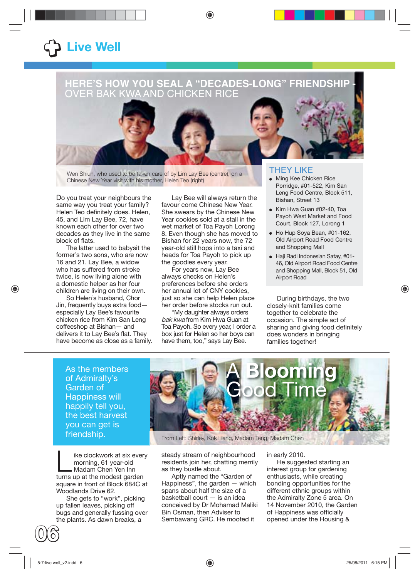## +**Live Well**

#### **HERE'S HOW YOU SEAL A "DECADES-LONG" FRIENDSHIP -**  OVER BAK KWA AND CHICKEN RICE



Wen Shiun, who used to be taken care of by Lim Lay Bee (centre), on a Chinese New Year visit with his mother, Helen Teo (right)

Do you treat your neighbours the same way you treat your family? Helen Teo definitely does. Helen, 45, and Lim Lay Bee, 72, have known each other for over two decades as they live in the same block of flats.

The latter used to babysit the former's two sons, who are now 16 and 21. Lay Bee, a widow who has suffered from stroke twice, is now living alone with a domestic helper as her four children are living on their own.

So Helen's husband, Chor Jin, frequently buys extra food especially Lay Bee's favourite chicken rice from Kim San Leng coffeeshop at Bishan— and delivers it to Lay Bee's flat. They have become as close as a family.

Lay Bee will always return the favour come Chinese New Year. She swears by the Chinese New Year cookies sold at a stall in the wet market of Toa Payoh Lorong 8. Even though she has moved to Bishan for 22 years now, the 72 year-old still hops into a taxi and heads for Toa Payoh to pick up the goodies every year.

For years now, Lay Bee always checks on Helen's preferences before she orders her annual lot of CNY cookies, just so she can help Helen place her order before stocks run out.

"My daughter always orders bak kwa from Kim Hwa Guan at Toa Payoh. So every year, I order a box just for Helen so her boys can have them, too," says Lay Bee.

#### THEY LIKE

- **Ming Kee Chicken Rice** Porridge, #01-522, Kim San Leng Food Centre, Block 511, Bishan, Street 13
- Kim Hwa Guan #02-40, Toa Payoh West Market and Food Court, Block 127, Lorong 1
- Ho Hup Soya Bean, #01-162, Old Airport Road Food Centre and Shopping Mall
- Haji Radi Indonesian Satay, #01- 46, Old Airport Road Food Centre and Shopping Mall, Block 51, Old Airport Road

During birthdays, the two closely-knit families come together to celebrate the occasion. The simple act of sharing and giving food definitely does wonders in bringing families together!

As the members of Admiralty's Garden of Happiness will happily tell you, the best harvest you can get is friendship.

ike clockwork at six every morning, 61 year-old Madam Chen Yen Inn turns up at the modest garden square in front of Block 684C at Woodlands Drive 62.

She gets to "work", picking up fallen leaves, picking off bugs and generally fussing over the plants. As dawn breaks, a



From Left: Shirley, Kok Liang, Madam Teng, Madam Chen

steady stream of neighbourhood residents join her, chatting merrily as they bustle about.

Aptly named the "Garden of Happiness", the garden — which spans about half the size of a basketball court — is an idea conceived by Dr Mohamad Maliki Bin Osman, then Adviser to Sembawang GRC. He mooted it

in early 2010.

He suggested starting an interest group for gardening enthusiasts, while creating bonding opportunities for the different ethnic groups within the Admiralty Zone 5 area. On 14 November 2010, the Garden of Happiness was officially opened under the Housing &

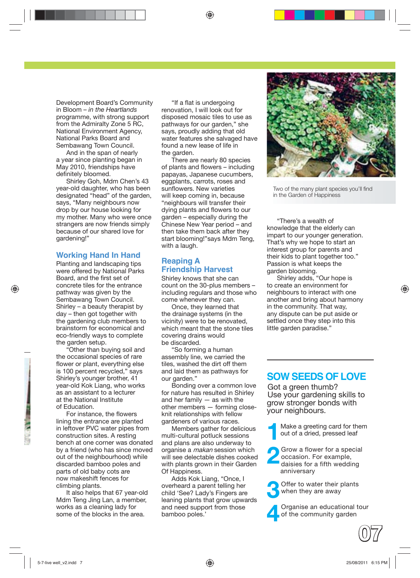Development Board's Community in Bloom – *in the Heartlands* programme, with strong support from the Admiralty Zone 5 RC, National Environment Agency, National Parks Board and Sembawang Town Council.

And in the span of nearly a year since planting began in May 2010, friendships have definitely bloomed.

Shirley Goh, Mdm Chen's 43 year-old daughter, who has been designated "head" of the garden, says, "Many neighbours now drop by our house looking for my mother. Many who were once strangers are now friends simply because of our shared love for gardening!"

#### **Working Hand In Hand**

Planting and landscaping tips were offered by National Parks Board, and the first set of concrete tiles for the entrance pathway was given by the Sembawang Town Council. Shirley – a beauty therapist by day – then got together with the gardening club members to brainstorm for economical and eco-friendly ways to complete the garden setup.

"Other than buying soil and the occasional species of rare flower or plant, everything else is 100 percent recycled," says Shirley's younger brother, 41 year-old Kok Liang, who works as an assistant to a lecturer at the National Institute of Education.

For instance, the flowers lining the entrance are planted in leftover PVC water pipes from construction sites. A resting bench at one corner was donated by a friend (who has since moved out of the neighbourhood) while discarded bamboo poles and parts of old baby cots are now makeshift fences for climbing plants.

It also helps that 67 year-old Mdm Teng Jing Lan, a member, works as a cleaning lady for some of the blocks in the area.

"If a flat is undergoing renovation, I will look out for disposed mosaic tiles to use as pathways for our garden," she says, proudly adding that old water features she salvaged have found a new lease of life in the garden.

There are nearly 80 species of plants and flowers – including papayas, Japanese cucumbers, eggplants, carrots, roses and sunflowers. New varieties will keep coming in, because "neighbours will transfer their dying plants and flowers to our garden – especially during the Chinese New Year period – and then take them back after they start blooming!"says Mdm Teng, with a laugh.

#### **Reaping A Friendship Harvest**

Shirley knows that she can count on the 30-plus members – including regulars and those who come whenever they can.

Once, they learned that the drainage systems (in the vicinity) were to be renovated, which meant that the stone tiles covering drains would be discarded.

"So forming a human assembly line, we carried the tiles, washed the dirt off them and laid them as pathways for our garden."

Bonding over a common love for nature has resulted in Shirley and her family — as with the other members — forming closeknit relationships with fellow gardeners of various races.

Members gather for delicious multi-cultural potluck sessions and plans are also underway to organise a makan session which will see delectable dishes cooked with plants grown in their Garden Of Happiness.

Adds Kok Liang, "Once, I overheard a parent telling her child 'See? Lady's Fingers are leaning plants that grow upwards and need support from those bamboo poles.'



Two of the many plant species you'll find in the Garden of Happiness

"There's a wealth of knowledge that the elderly can impart to our younger generation. That's why we hope to start an interest group for parents and their kids to plant together too." Passion is what keeps the garden blooming.

Shirley adds, "Our hope is to create an environment for neighbours to interact with one another and bring about harmony in the community. That way, any dispute can be put aside or settled once they step into this little garden paradise."

#### **SOW SEEDS OF LOVE**

Got a green thumb? Use your gardening skills to grow stronger bonds with your neighbours.

**1**Make a greeting card for them out of a dried, pressed leaf

**2** Grow a flower for a special occasion. For example, daisies for a fifth wedding anniversary

**3** Offer to water their plants when they are away

**4** Organise an educational tour of the community garden

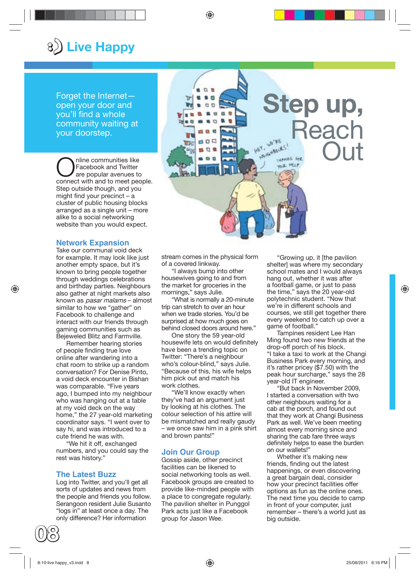## 8 $\bigcirc$  Live Happy

Forget the Internet open your door and you'll find a whole community waiting at your doorstep.

Communities like<br>
Facebook and Twitter<br>
are popular avenues to Facebook and Twitter connect with and to meet people. Step outside though, and you might find your precinct  $- a$ cluster of public housing blocks arranged as a single unit – more alike to a social networking website than you would expect.

#### **Network Expansion**

Take our communal void deck for example. It may look like just another empty space, but it's known to bring people together through weddings celebrations and birthday parties. Neighbours also gather at night markets also known as pasar malams – almost similar to how we "gather" on Facebook to challenge and interact with our friends through gaming communities such as Bejeweled Blitz and Farmville.

Remember hearing stories of people finding true love online after wandering into a chat room to strike up a random conversation? For Denise Pinto, a void deck encounter in Bishan was comparable. "Five years ago, I bumped into my neighbour who was hanging out at a table at my void deck on the way home," the 27 year-old marketing coordinator says. "I went over to say hi, and was introduced to a cute friend he was with.

"We hit it off, exchanged numbers, and you could say the rest was history."

#### **The Latest Buzz**

Log into Twitter, and you'll get all sorts of updates and news from the people and friends you follow. Serangoon resident Julie Susanto "logs in" at least once a day. The only difference? Her information



 $E$   $E$  $-1.5$  $00$ 鳥類  $\alpha$ en en en

 $\Box$ 

 $\alpha$ 

日日

TTA:

"I always bump into other housewives going to and from the market for groceries in the mornings," says Julie.

"What is normally a 20-minute trip can stretch to over an hour when we trade stories. You'd be surprised at how much goes on behind closed doors around here."

One story the 59 year-old housewife lets on would definitely have been a trending topic on Twitter: "There's a neighbour who's colour-blind," says Julie. "Because of this, his wife helps him pick out and match his work clothes.

"We'll know exactly when they've had an argument just by looking at his clothes. The colour selection of his attire will be mismatched and really gaudy – we once saw him in a pink shirt and brown pants!"

#### **Join Our Group**

Gossip aside, other precinct facilities can be likened to social networking tools as well. Facebook groups are created to provide like-minded people with a place to congregate regularly. The pavilion shelter in Punggol Park acts just like a Facebook group for Jason Wee.

"Growing up, it [the pavilion shelter] was where my secondary school mates and I would always hang out, whether it was after a football game, or just to pass the time," says the 20 year-old polytechnic student. "Now that we're in different schools and courses, we still get together there every weekend to catch up over a game of football."

**Step up,**

 $3^{186}$ 

**CALLAS** 

anas fet.

**A. HELP** 

**Reach** 

**Out** 

Tampines resident Lee Han Ming found two new friends at the drop-off porch of his block. "I take a taxi to work at the Changi Business Park every morning, and it's rather pricey (\$7.50) with the peak hour surcharge," says the 28 year-old IT engineer.

"But back in November 2009, I started a conversation with two other neighbours waiting for a cab at the porch, and found out that they work at Changi Business Park as well. We've been meeting almost every morning since and sharing the cab fare three ways definitely helps to ease the burden on our wallets!"

Whether it's making new friends, finding out the latest happenings, or even discovering a great bargain deal, consider how your precinct facilities offer options as fun as the online ones. The next time you decide to camp in front of your computer, just remember – there's a world just as big outside.

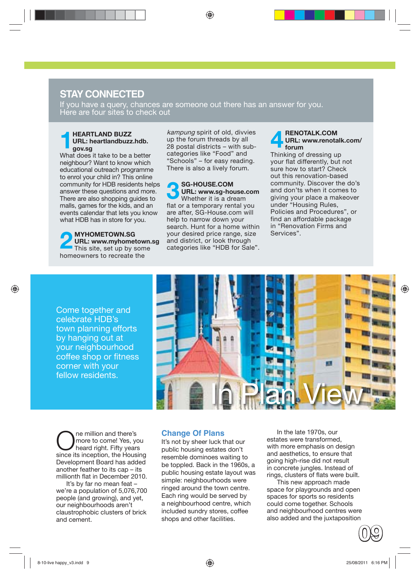### **STAY CONNECTED**

If you have a query, chances are someone out there has an answer for you. Here are four sites to check out

#### **1HEARTLAND BUZZ**<br>URL: heartlandbuzz<br>gov.sg **URL: heartlandbuzz.hdb. gov.sg**

What does it take to be a better neighbour? Want to know which educational outreach programme to enrol your child in? This online community for HDB residents helps answer these questions and more. There are also shopping guides to malls, games for the kids, and an events calendar that lets you know what HDB has in store for you.

**2 MYHOMETOWN.SG**<br> **2 URL: www.myhometown.**<br>
This site, set up by some **URL: www.myhometown.sg**  homeowners to recreate the

kampung spirit of old, divvies up the forum threads by all 28 postal districts – with subcategories like "Food" and "Schools" – for easy reading. There is also a lively forum.

**3 SG-HOUSE.COM URL: www.sg-house.com**  Whether it is a dream flat or a temporary rental you are after, SG-House.com will help to narrow down your search. Hunt for a home within your desired price range, size and district, or look through categories like "HDB for Sale".

#### **4 RENOTALK.COM**<br>**4 URL:** www.renota **URL: www.renotalk.com/ forum**

Thinking of dressing up your flat differently, but not sure how to start? Check out this renovation-based community. Discover the do's and don'ts when it comes to giving your place a makeover under "Housing Rules, Policies and Procedures", or find an affordable package in "Renovation Firms and Services".

Come together and celebrate HDB's town planning efforts by hanging out at your neighbourhood coffee shop or fitness corner with your fellow residents.



**O**ne million and there's<br>
heard right. Fifty years<br> **Contains the learning of the learning of the learning of the learning of the learning of the learning of the state** more to come! Yes, you since its inception, the Housing Development Board has added another feather to its cap – its millionth flat in December 2010.

It's by far no mean feat – we're a population of 5,076,700 people (and growing), and yet, our neighbourhoods aren't claustrophobic clusters of brick and cement.

#### **Change Of Plans**

It's not by sheer luck that our public housing estates don't resemble dominoes waiting to be toppled. Back in the 1960s, a public housing estate layout was simple: neighbourhoods were ringed around the town centre. Each ring would be served by a neighbourhood centre, which included sundry stores, coffee shops and other facilities.

In the late 1970s, our estates were transformed, with more emphasis on design and aesthetics, to ensure that going high-rise did not result in concrete jungles. Instead of rings, clusters of flats were built.

This new approach made space for playgrounds and open spaces for sports so residents could come together. Schools and neighbourhood centres were also added and the juxtaposition

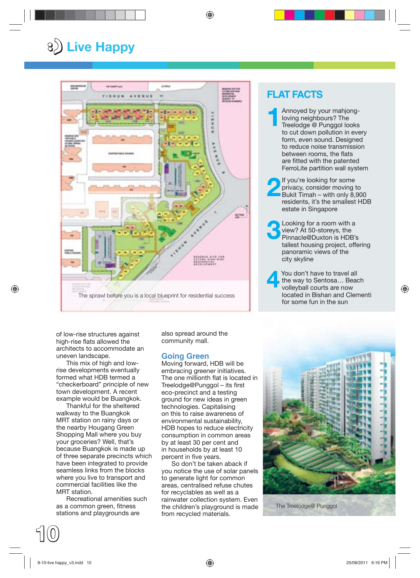## :) **Live Happy**



#### **FLAT FACTS**

**1**Annoyed by your mahjong-<br>
loving neighbours? The<br>
Treelodge @ Punggol looks loving neighbours? The to cut down pollution in every form, even sound. Designed to reduce noise transmission between rooms, the flats are fitted with the patented FerroLite partition wall system

**2**<br>If you're looking for some<br>privacy, consider moving t<br>Bukit Timah – with only 8, privacy, consider moving to Bukit Timah – with only 8,900 residents, it's the smallest HDB estate in Singapore

**3**Looking for a room with a view? At 50-storeys, the Pinnacle@Duxton is HDB's view? At 50-storeys, the Pinnacle@Duxton is HDB's tallest housing project, offering panoramic views of the city skyline

You don't have to travel all<br>the way to Sentosa... Bead<br>volleyball courts are now the way to Sentosa… Beach located in Bishan and Clementi for some fun in the sun

of low-rise structures against high-rise flats allowed the architects to accommodate an uneven landscape.

This mix of high and lowrise developments eventually formed what HDB termed a "checkerboard" principle of new town development. A recent example would be Buangkok.

Thankful for the sheltered walkway to the Buangkok MRT station on rainy days or the nearby Hougang Green Shopping Mall where you buy your groceries? Well, that's because Buangkok is made up of three separate precincts which have been integrated to provide seamless links from the blocks where you live to transport and commercial facilities like the MRT station.

Recreational amenities such as a common green, fitness stations and playgrounds are

also spread around the community mall.

#### **Going Green**

Moving forward, HDB will be embracing greener initiatives. The one millionth flat is located in Treelodge@Punggol – its first eco-precinct and a testing ground for new ideas in green technologies. Capitalising on this to raise awareness of environmental sustainability, HDB hopes to reduce electricity consumption in common areas by at least 30 per cent and in households by at least 10 percent in five years.

So don't be taken aback if you notice the use of solar panels to generate light for common areas, centralised refuse chutes for recyclables as well as a rainwater collection system. Even the children's playground is made from recycled materials.



The Treelodge@ Punggol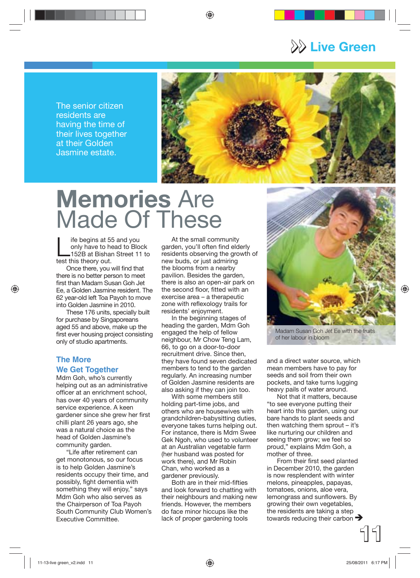>> **Live Green**

The senior citizen residents are having the time of their lives together at their Golden Jasmine estate.



## **Memories** Are Made Of These

ife begins at 55 and you only have to head to Block 152B at Bishan Street 11 to test this theory out.

Once there, you will find that there is no better person to meet first than Madam Susan Goh Jet Ee, a Golden Jasmine resident. The 62 year-old left Toa Payoh to move into Golden Jasmine in 2010.

These 176 units, specially built for purchase by Singaporeans aged 55 and above, make up the first ever housing project consisting only of studio apartments.

#### **The More We Get Together**

Mdm Goh, who's currently helping out as an administrative officer at an enrichment school. has over 40 years of community service experience. A keen gardener since she grew her first chilli plant 26 years ago, she was a natural choice as the head of Golden Jasmine's community garden.

"Life after retirement can get monotonous, so our focus is to help Golden Jasmine's residents occupy their time, and possibly, fight dementia with something they will enjoy," says Mdm Goh who also serves as the Chairperson of Toa Payoh South Community Club Women's Executive Committee.

At the small community garden, you'll often find elderly residents observing the growth of new buds, or just admiring the blooms from a nearby pavilion. Besides the garden, there is also an open-air park on the second floor, fitted with an exercise area – a therapeutic zone with reflexology trails for residents' enjoyment.

In the beginning stages of heading the garden, Mdm Goh engaged the help of fellow neighbour, Mr Chow Teng Lam, 66, to go on a door-to-door recruitment drive. Since then, they have found seven dedicated members to tend to the garden regularly. An increasing number of Golden Jasmine residents are also asking if they can join too.

With some members still holding part-time jobs, and others who are housewives with grandchildren-babysitting duties, everyone takes turns helping out. For instance, there is Mdm Swee Gek Ngoh, who used to volunteer at an Australian vegetable farm (her husband was posted for work there), and Mr Robin Chan, who worked as a gardener previously.

Both are in their mid-fifties and look forward to chatting with their neighbours and making new friends. However, the members do face minor hiccups like the lack of proper gardening tools



Madam Susan Goh Jet Ee with the fruits of her labour in bloom

and a direct water source, which mean members have to pay for seeds and soil from their own pockets, and take turns lugging heavy pails of water around.

Not that it matters, because "to see everyone putting their heart into this garden, using our bare hands to plant seeds and then watching them sprout – it's like nurturing our children and seeing them grow; we feel so proud," explains Mdm Goh, a mother of three.

From their first seed planted in December 2010, the garden is now resplendent with winter melons, pineapples, papayas, tomatoes, onions, aloe vera, lemongrass and sunflowers. By growing their own vegetables, the residents are taking a step towards reducing their carbon  $\rightarrow$ 

**11**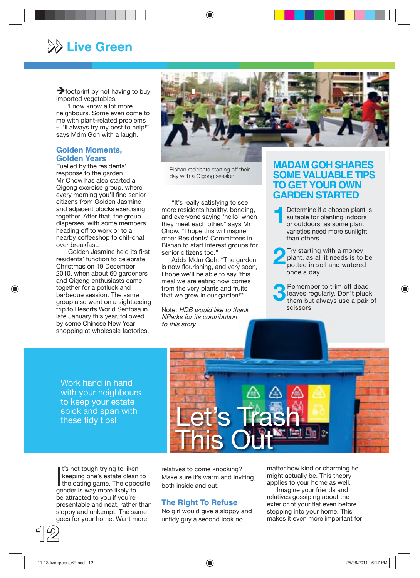## >> **Live Green**

 $\rightarrow$  footprint by not having to buy imported vegetables.

"I now know a lot more neighbours. Some even come to me with plant-related problems – I'll always try my best to help!" says Mdm Goh with a laugh.

#### **Golden Moments, Golden Years**

Fuelled by the residents' response to the garden, Mr Chow has also started a Qigong exercise group, where every morning you'll find senior citizens from Golden Jasmine and adjacent blocks exercising together. After that, the group disperses, with some members heading off to work or to a nearby coffeeshop to chit-chat over breakfast.

Golden Jasmine held its first residents' function to celebrate Christmas on 19 December 2010, when about 60 gardeners and Qigong enthusiasts came together for a potluck and barbeque session. The same group also went on a sightseeing trip to Resorts World Sentosa in late January this year, followed by some Chinese New Year shopping at wholesale factories.



Bishan residents starting off their day with a Qigong session

"It's really satisfying to see more residents healthy, bonding, and everyone saying 'hello' when they meet each other," says Mr Chow. "I hope this will inspire other Residents' Committees in Bishan to start interest groups for senior citizens too."

Adds Mdm Goh, "The garden is now flourishing, and very soon, I hope we'll be able to say 'this meal we are eating now comes from the very plants and fruits that we grew in our garden!'"

Note: HDB would like to thank NParks for its contribution to this story.

#### **MADAM GOH SHARES SOME VALUABLE TIPS TO GET YOUR OWN GARDEN STARTED**

- **1**Determine if a chosen plant is suitable for planting indoors or outdoors, as some plant suitable for planting indoors or outdoors, as some plant varieties need more sunlight than others
	- **2** Try starting with a money plant, as all it needs is to be potted in soil and watered once a day
- **3** Remember to trim off dead<br>them but always use a pair leaves regularly. Don't pluck them but always use a pair of scissors

Work hand in hand with your neighbours to keep your estate spick and span with these tidy tips!



It's not tough trying to liken<br>keeping one's estate clean to<br>the dating game. The opposite<br>ander in way men likely to t's not tough trying to liken keeping one's estate clean to gender is way more likely to be attracted to you if you're presentable and neat, rather than sloppy and unkempt. The same goes for your home. Want more

**12**

relatives to come knocking? Make sure it's warm and inviting, both inside and out.

#### **The Right To Refuse**

No girl would give a sloppy and untidy guy a second look no

matter how kind or charming he might actually be. This theory applies to your home as well.

Imagine your friends and relatives gossiping about the exterior of your flat even before stepping into your home. This makes it even more important for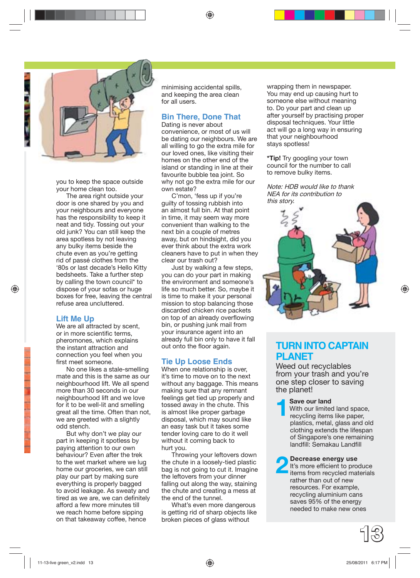

you to keep the space outside your home clean too.

The area right outside your door is one shared by you and your neighbours and everyone has the responsibility to keep it neat and tidy. Tossing out your old junk? You can still keep the area spotless by not leaving any bulky items beside the chute even as you're getting rid of passé clothes from the '80s or last decade's Hello Kitty bedsheets. Take a further step by calling the town council\* to dispose of your sofas or huge boxes for free, leaving the central refuse area uncluttered.

#### **Lift Me Up**

We are all attracted by scent, or in more scientific terms. pheromones, which explains the instant attraction and connection you feel when you first meet someone

No one likes a stale-smelling mate and this is the same as our neighbourhood lift. We all spend more than 30 seconds in our neighbourhood lift and we love for it to be well-lit and smelling great all the time. Often than not, we are greeted with a slightly odd stench.

But why don't we play our part in keeping it spotless by paying attention to our own behaviour? Even after the trek to the wet market where we lug home our groceries, we can still play our part by making sure everything is properly bagged to avoid leakage. As sweaty and tired as we are, we can definitely afford a few more minutes till we reach home before sipping on that takeaway coffee, hence

minimising accidental spills, and keeping the area clean for all users.

#### **Bin There, Done That**

Dating is never about convenience, or most of us will be dating our neighbours. We are all willing to go the extra mile for our loved ones, like visiting their homes on the other end of the island or standing in line at their favourite bubble tea joint. So why not go the extra mile for our own estate?

C'mon, 'fess up if you're guilty of tossing rubbish into an almost full bin. At that point in time, it may seem way more convenient than walking to the next bin a couple of metres away, but on hindsight, did you ever think about the extra work cleaners have to put in when they clear our trash out?

Just by walking a few steps, you can do your part in making the environment and someone's life so much better. So, maybe it is time to make it your personal mission to stop balancing those discarded chicken rice packets on top of an already overflowing bin, or pushing junk mail from your insurance agent into an already full bin only to have it fall out onto the floor again.

#### **Tie Up Loose Ends**

When one relationship is over, it's time to move on to the next without any baggage. This means making sure that any remnant feelings get tied up properly and tossed away in the chute. This is almost like proper garbage disposal, which may sound like an easy task but it takes some tender loving care to do it well without it coming back to hurt you.

Throwing your leftovers down the chute in a loosely-tied plastic bag is not going to cut it. Imagine the leftovers from your dinner falling out along the way, staining the chute and creating a mess at the end of the tunnel.

What's even more dangerous is getting rid of sharp objects like broken pieces of glass without

wrapping them in newspaper. You may end up causing hurt to someone else without meaning to. Do your part and clean up after yourself by practising proper disposal techniques. Your little act will go a long way in ensuring that your neighbourhood stays spotless!

**\*Tip!** Try googling your town council for the number to call to remove bulky items.

Note: HDB would like to thank NEA for its contribution to this story.



#### **TURN INTO CAPTAIN PLANET**

Weed out recyclables from your trash and you're one step closer to saving the planet!

**1Save our land<br>
1Save our limited<br>
1989 With our limited<br>
1999 Terms<br>
1999 Terms<br>
1999 Terms<br>
1999 Terms<br>
1999 Terms<br>
1999 Terms<br>
1999 Terms<br>
1999 Terms<br>
1999 Terms<br>
1999 Terms<br>
1999 Terms<br>
1999 Terms<br>
1999 Terms<br>
1999 Te** With our limited land space, recycling items like paper, plastics, metal, glass and old clothing extends the lifespan of Singapore's one remaining landfill: Semakau Landfill

**2 Decrease energy use**<br> **12 It's more efficient to produce**<br> **items from recycled materials** It's more efficient to produce rather than out of new resources. For example, recycling aluminium cans saves 95% of the energy needed to make new ones

**13**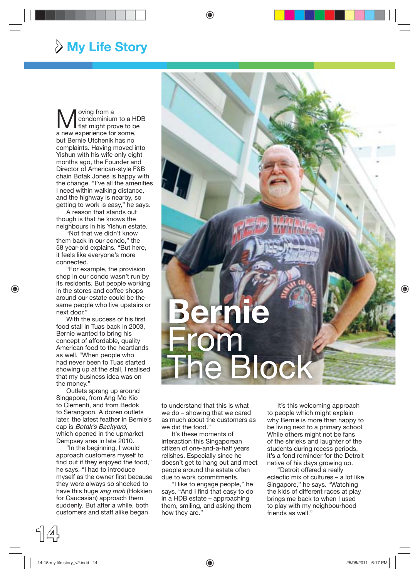### > **My Life Story**

Woving from a<br>flat might pro condominium to a HDB flat might prove to be a new experience for some, but Bernie Utchenik has no complaints. Having moved into Yishun with his wife only eight months ago, the Founder and Director of American-style F&B chain Botak Jones is happy with the change. "I've all the amenities I need within walking distance, and the highway is nearby, so getting to work is easy," he says.

A reason that stands out though is that he knows the neighbours in his Yishun estate.

"Not that we didn't know them back in our condo," the 58 year-old explains. "But here, it feels like everyone's more connected.

"For example, the provision shop in our condo wasn't run by its residents. But people working in the stores and coffee shops around our estate could be the same people who live upstairs or next door."

With the success of his first food stall in Tuas back in 2003, Bernie wanted to bring his concept of affordable, quality American food to the heartlands as well. "When people who had never been to Tuas started showing up at the stall, I realised that my business idea was on the money."

Outlets sprang up around Singapore, from Ang Mo Kio to Clementi, and from Bedok to Serangoon. A dozen outlets later, the latest feather in Bernie's cap is Botak's Backyard, which opened in the upmarket Dempsey area in late 2010.

"In the beginning, I would approach customers myself to find out if they enjoyed the food," he says. "I had to introduce myself as the owner first because they were always so shocked to have this huge ang moh (Hokkien for Caucasian) approach them suddenly. But after a while, both customers and staff alike began



to understand that this is what we do – showing that we cared as much about the customers as we did the food."

It's these moments of interaction this Singaporean citizen of one-and-a-half years relishes. Especially since he doesn't get to hang out and meet people around the estate often due to work commitments.

"I like to engage people," he says. "And I find that easy to do in a HDB estate – approaching them, smiling, and asking them how they are."

It's this welcoming approach to people which might explain why Bernie is more than happy to be living next to a primary school. While others might not be fans of the shrieks and laughter of the students during recess periods, it's a fond reminder for the Detroit native of his days growing up.

"Detroit offered a really eclectic mix of cultures – a lot like Singapore," he says. "Watching the kids of different races at play brings me back to when I used to play with my neighbourhood friends as well."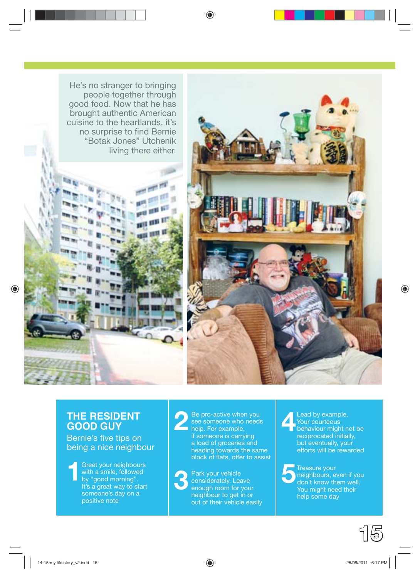



#### **THE RESIDENT GOOD GUY**

Bernie's five tips on being a nice neighbour

**1**Greet your neighbours<br>with a smile, followed<br>by "good morning". with a smile, followed by "good morning". It's a great way to start someone's day on a positive note

**2** Be pro-active when you see someone who needs help. For example, if someone is carrying a load of groceries and heading towards the same block of flats, offer to assist

**3** Park your vehicle<br>
considerately. Leave<br>
enough room for your considerately. Leave neighbour to get in or out of their vehicle easily **4**Lead by example. Your courteous behaviour might not be reciprocated initially, but eventually, your efforts will be rewarded

**5**Treasure your neighbours, even if you don't know them well. You might need their help some day

**15**